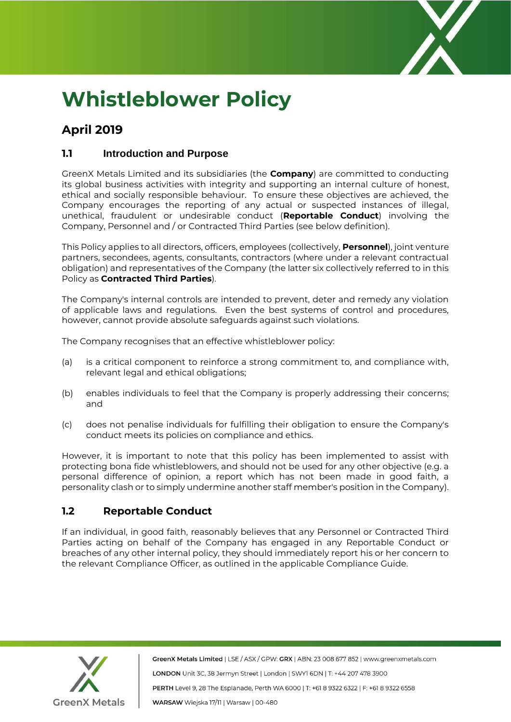

# **Whistleblower Policy**

# **April 2019**

### **1.1 Introduction and Purpose**

GreenX Metals Limited and its subsidiaries (the **Company**) are committed to conducting its global business activities with integrity and supporting an internal culture of honest, ethical and socially responsible behaviour. To ensure these objectives are achieved, the Company encourages the reporting of any actual or suspected instances of illegal, unethical, fraudulent or undesirable conduct (**Reportable Conduct**) involving the Company, Personnel and / or Contracted Third Parties (see below definition).

This Policy applies to all directors, officers, employees (collectively, **Personnel**), joint venture partners, secondees, agents, consultants, contractors (where under a relevant contractual obligation) and representatives of the Company (the latter six collectively referred to in this Policy as **Contracted Third Parties**).

The Company's internal controls are intended to prevent, deter and remedy any violation of applicable laws and regulations. Even the best systems of control and procedures, however, cannot provide absolute safeguards against such violations.

The Company recognises that an effective whistleblower policy:

- (a) is a critical component to reinforce a strong commitment to, and compliance with, relevant legal and ethical obligations;
- (b) enables individuals to feel that the Company is properly addressing their concerns; and
- (c) does not penalise individuals for fulfilling their obligation to ensure the Company's conduct meets its policies on compliance and ethics.

However, it is important to note that this policy has been implemented to assist with protecting bona fide whistleblowers, and should not be used for any other objective (e.g. a personal difference of opinion, a report which has not been made in good faith, a personality clash or to simply undermine another staff member's position in the Company).

# **1.2 Reportable Conduct**

If an individual, in good faith, reasonably believes that any Personnel or Contracted Third Parties acting on behalf of the Company has engaged in any Reportable Conduct or breaches of any other internal policy, they should immediately report his or her concern to the relevant Compliance Officer, as outlined in the applicable Compliance Guide.



GreenX Metals Limited | LSE / ASX / GPW: GRX | ABN: 23 008 677 852 | www.greenxmetals.com LONDON Unit 3C, 38 Jermyn Street | London | SWY1 6DN | T: +44 207 478 3900 PERTH Level 9, 28 The Esplanade, Perth WA 6000 | T: +61 8 9322 6322 | F: +61 8 9322 6558 WARSAW Wiejska 17/11 | Warsaw | 00-480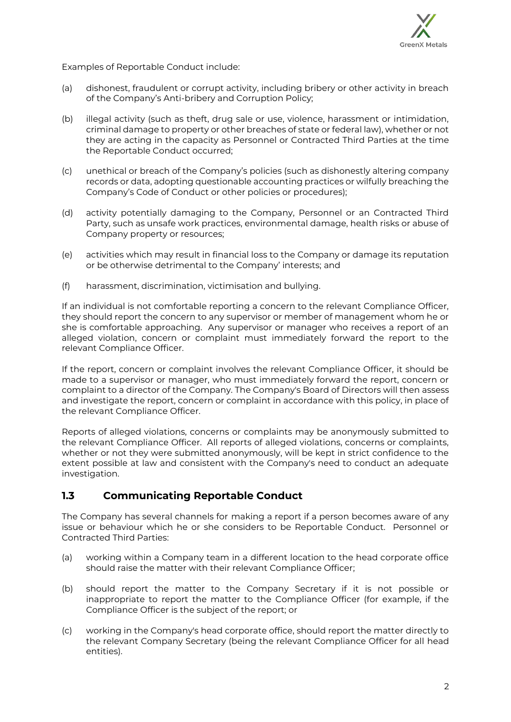

Examples of Reportable Conduct include:

- (a) dishonest, fraudulent or corrupt activity, including bribery or other activity in breach of the Company's Anti-bribery and Corruption Policy;
- (b) illegal activity (such as theft, drug sale or use, violence, harassment or intimidation, criminal damage to property or other breaches of state or federal law), whether or not they are acting in the capacity as Personnel or Contracted Third Parties at the time the Reportable Conduct occurred;
- (c) unethical or breach of the Company's policies (such as dishonestly altering company records or data, adopting questionable accounting practices or wilfully breaching the Company's Code of Conduct or other policies or procedures);
- (d) activity potentially damaging to the Company, Personnel or an Contracted Third Party, such as unsafe work practices, environmental damage, health risks or abuse of Company property or resources;
- (e) activities which may result in financial loss to the Company or damage its reputation or be otherwise detrimental to the Company' interests; and
- (f) harassment, discrimination, victimisation and bullying.

If an individual is not comfortable reporting a concern to the relevant Compliance Officer, they should report the concern to any supervisor or member of management whom he or she is comfortable approaching. Any supervisor or manager who receives a report of an alleged violation, concern or complaint must immediately forward the report to the relevant Compliance Officer.

If the report, concern or complaint involves the relevant Compliance Officer, it should be made to a supervisor or manager, who must immediately forward the report, concern or complaint to a director of the Company. The Company's Board of Directors will then assess and investigate the report, concern or complaint in accordance with this policy, in place of the relevant Compliance Officer.

Reports of alleged violations, concerns or complaints may be anonymously submitted to the relevant Compliance Officer. All reports of alleged violations, concerns or complaints, whether or not they were submitted anonymously, will be kept in strict confidence to the extent possible at law and consistent with the Company's need to conduct an adequate investigation.

# **1.3 Communicating Reportable Conduct**

The Company has several channels for making a report if a person becomes aware of any issue or behaviour which he or she considers to be Reportable Conduct. Personnel or Contracted Third Parties:

- (a) working within a Company team in a different location to the head corporate office should raise the matter with their relevant Compliance Officer;
- (b) should report the matter to the Company Secretary if it is not possible or inappropriate to report the matter to the Compliance Officer (for example, if the Compliance Officer is the subject of the report; or
- (c) working in the Company's head corporate office, should report the matter directly to the relevant Company Secretary (being the relevant Compliance Officer for all head entities).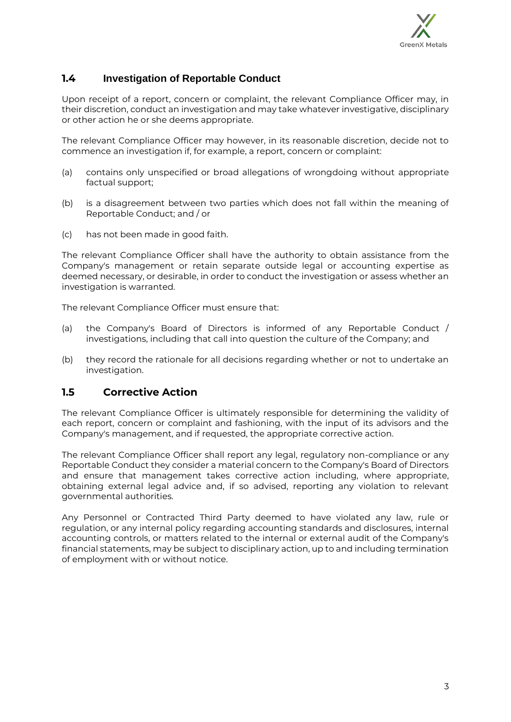

# **1.4 Investigation of Reportable Conduct**

Upon receipt of a report, concern or complaint, the relevant Compliance Officer may, in their discretion, conduct an investigation and may take whatever investigative, disciplinary or other action he or she deems appropriate.

The relevant Compliance Officer may however, in its reasonable discretion, decide not to commence an investigation if, for example, a report, concern or complaint:

- (a) contains only unspecified or broad allegations of wrongdoing without appropriate factual support;
- (b) is a disagreement between two parties which does not fall within the meaning of Reportable Conduct; and / or
- (c) has not been made in good faith.

The relevant Compliance Officer shall have the authority to obtain assistance from the Company's management or retain separate outside legal or accounting expertise as deemed necessary, or desirable, in order to conduct the investigation or assess whether an investigation is warranted.

The relevant Compliance Officer must ensure that:

- (a) the Company's Board of Directors is informed of any Reportable Conduct / investigations, including that call into question the culture of the Company; and
- (b) they record the rationale for all decisions regarding whether or not to undertake an investigation.

#### **1.5 Corrective Action**

The relevant Compliance Officer is ultimately responsible for determining the validity of each report, concern or complaint and fashioning, with the input of its advisors and the Company's management, and if requested, the appropriate corrective action.

The relevant Compliance Officer shall report any legal, regulatory non-compliance or any Reportable Conduct they consider a material concern to the Company's Board of Directors and ensure that management takes corrective action including, where appropriate, obtaining external legal advice and, if so advised, reporting any violation to relevant governmental authorities.

Any Personnel or Contracted Third Party deemed to have violated any law, rule or regulation, or any internal policy regarding accounting standards and disclosures, internal accounting controls, or matters related to the internal or external audit of the Company's financial statements, may be subject to disciplinary action, up to and including termination of employment with or without notice.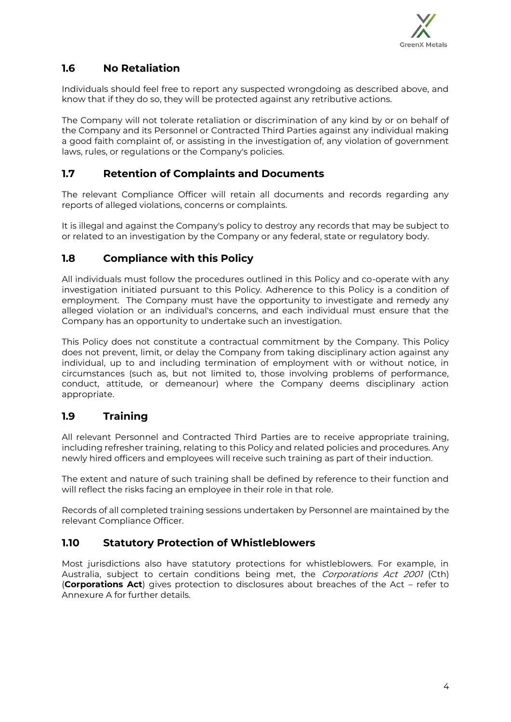

# **1.6 No Retaliation**

Individuals should feel free to report any suspected wrongdoing as described above, and know that if they do so, they will be protected against any retributive actions.

The Company will not tolerate retaliation or discrimination of any kind by or on behalf of the Company and its Personnel or Contracted Third Parties against any individual making a good faith complaint of, or assisting in the investigation of, any violation of government laws, rules, or regulations or the Company's policies.

# **1.7 Retention of Complaints and Documents**

The relevant Compliance Officer will retain all documents and records regarding any reports of alleged violations, concerns or complaints.

It is illegal and against the Company's policy to destroy any records that may be subject to or related to an investigation by the Company or any federal, state or regulatory body.

# **1.8 Compliance with this Policy**

All individuals must follow the procedures outlined in this Policy and co-operate with any investigation initiated pursuant to this Policy. Adherence to this Policy is a condition of employment. The Company must have the opportunity to investigate and remedy any alleged violation or an individual's concerns, and each individual must ensure that the Company has an opportunity to undertake such an investigation.

This Policy does not constitute a contractual commitment by the Company. This Policy does not prevent, limit, or delay the Company from taking disciplinary action against any individual, up to and including termination of employment with or without notice, in circumstances (such as, but not limited to, those involving problems of performance, conduct, attitude, or demeanour) where the Company deems disciplinary action appropriate.

# **1.9 Training**

All relevant Personnel and Contracted Third Parties are to receive appropriate training, including refresher training, relating to this Policy and related policies and procedures. Any newly hired officers and employees will receive such training as part of their induction.

The extent and nature of such training shall be defined by reference to their function and will reflect the risks facing an employee in their role in that role.

Records of all completed training sessions undertaken by Personnel are maintained by the relevant Compliance Officer.

# **1.10 Statutory Protection of Whistleblowers**

Most jurisdictions also have statutory protections for whistleblowers. For example, in Australia, subject to certain conditions being met, the Corporations Act 2001 (Cth) (**Corporations Act**) gives protection to disclosures about breaches of the Act – refer to Annexure A for further details.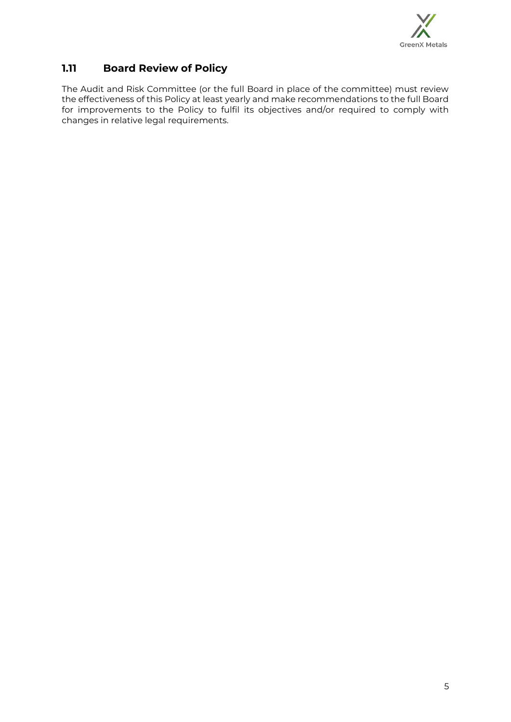

# **1.11 Board Review of Policy**

The Audit and Risk Committee (or the full Board in place of the committee) must review the effectiveness of this Policy at least yearly and make recommendations to the full Board for improvements to the Policy to fulfil its objectives and/or required to comply with changes in relative legal requirements.